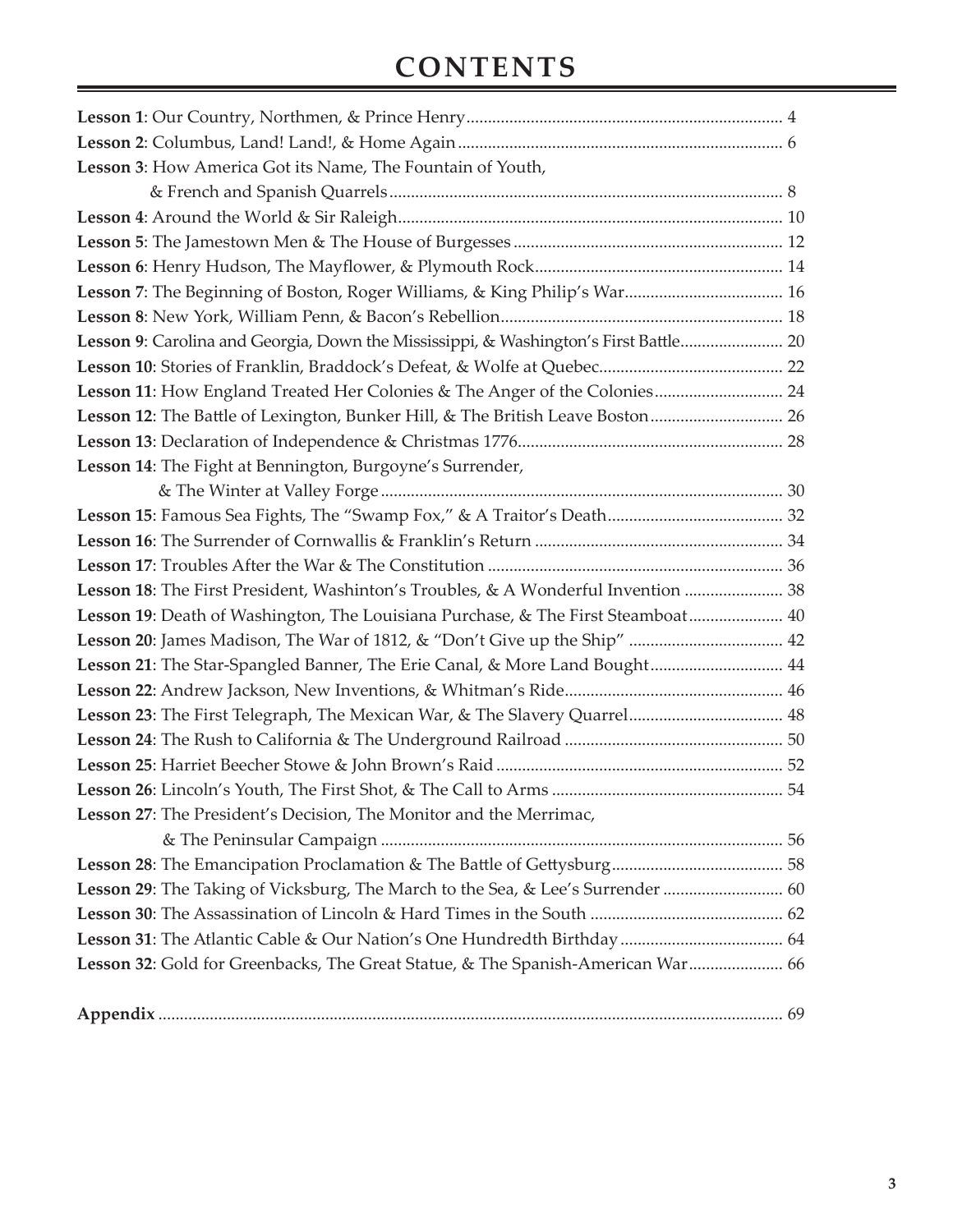## **Contents**

| Lesson 3: How America Got its Name, The Fountain of Youth,                           |  |
|--------------------------------------------------------------------------------------|--|
|                                                                                      |  |
|                                                                                      |  |
|                                                                                      |  |
|                                                                                      |  |
| Lesson 7: The Beginning of Boston, Roger Williams, & King Philip's War 16            |  |
|                                                                                      |  |
| Lesson 9: Carolina and Georgia, Down the Mississippi, & Washington's First Battle 20 |  |
|                                                                                      |  |
| Lesson 11: How England Treated Her Colonies & The Anger of the Colonies 24           |  |
| Lesson 12: The Battle of Lexington, Bunker Hill, & The British Leave Boston 26       |  |
|                                                                                      |  |
| Lesson 14: The Fight at Bennington, Burgoyne's Surrender,                            |  |
|                                                                                      |  |
|                                                                                      |  |
|                                                                                      |  |
|                                                                                      |  |
| Lesson 18: The First President, Washinton's Troubles, & A Wonderful Invention  38    |  |
| Lesson 19: Death of Washington, The Louisiana Purchase, & The First Steamboat 40     |  |
| Lesson 20: James Madison, The War of 1812, & "Don't Give up the Ship"  42            |  |
| Lesson 21: The Star-Spangled Banner, The Erie Canal, & More Land Bought 44           |  |
|                                                                                      |  |
| Lesson 23: The First Telegraph, The Mexican War, & The Slavery Quarrel 48            |  |
|                                                                                      |  |
|                                                                                      |  |
|                                                                                      |  |
| Lesson 27: The President's Decision, The Monitor and the Merrimac,                   |  |
|                                                                                      |  |
|                                                                                      |  |
| Lesson 29: The Taking of Vicksburg, The March to the Sea, & Lee's Surrender  60      |  |
|                                                                                      |  |
|                                                                                      |  |
| Lesson 32: Gold for Greenbacks, The Great Statue, & The Spanish-American War 66      |  |
|                                                                                      |  |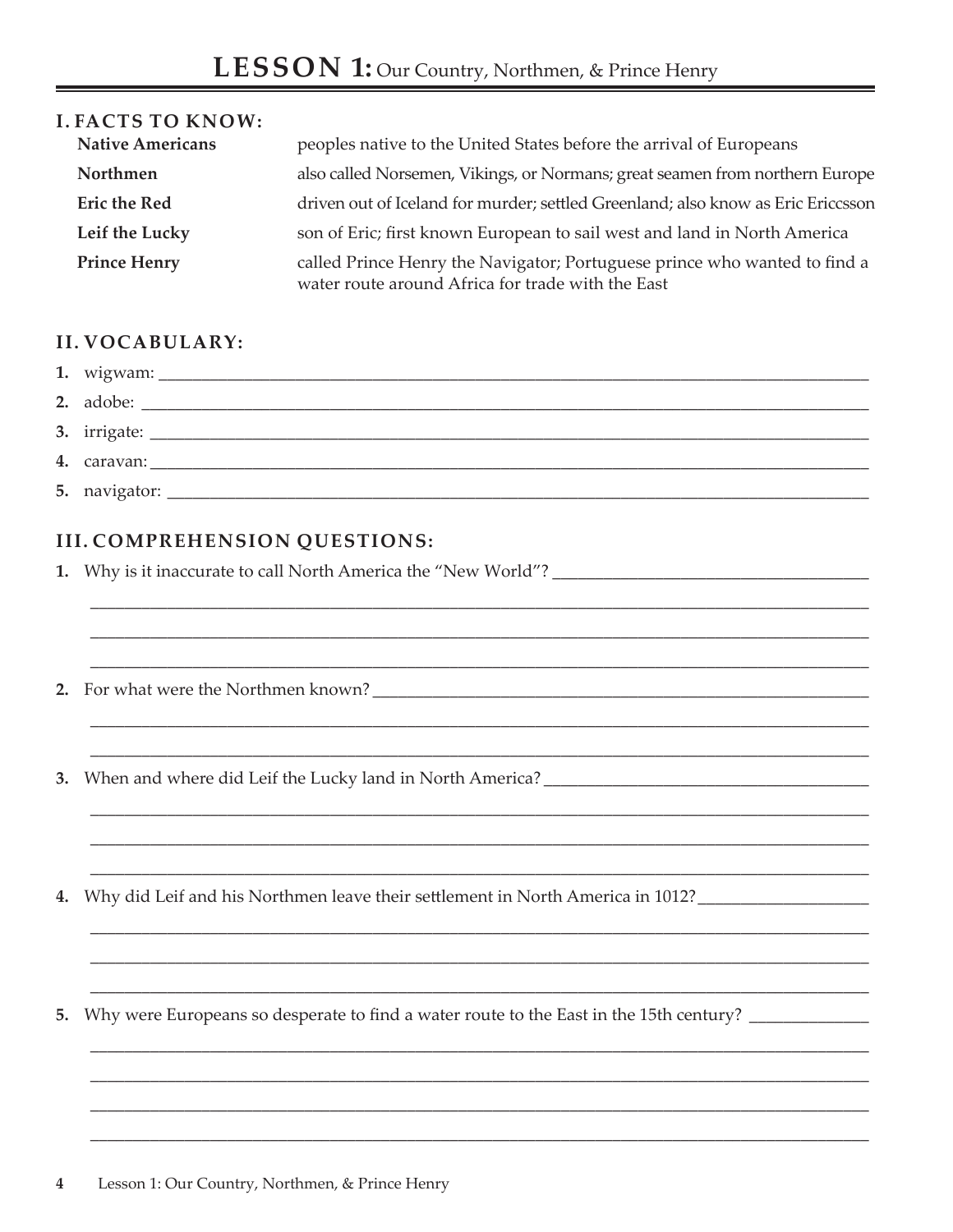| <b>I. FACTS TO KNOW:</b> |                                                                                                                                |
|--------------------------|--------------------------------------------------------------------------------------------------------------------------------|
| <b>Native Americans</b>  | peoples native to the United States before the arrival of Europeans                                                            |
| Northmen                 | also called Norsemen, Vikings, or Normans; great seamen from northern Europe                                                   |
| <b>Eric the Red</b>      | driven out of Iceland for murder; settled Greenland; also know as Eric Ericcsson                                               |
| Leif the Lucky           | son of Eric; first known European to sail west and land in North America                                                       |
| <b>Prince Henry</b>      | called Prince Henry the Navigator; Portuguese prince who wanted to find a<br>water route around Africa for trade with the East |

## **II. VOCABULARY:**

| 4. caravan: |
|-------------|
|             |

## **III. COMPREHENSION QUESTIONS:**

4. Why did Leif and his Northmen leave their settlement in North America in 1012?

5. Why were Europeans so desperate to find a water route to the East in the 15th century? \_\_\_\_\_\_\_\_\_\_